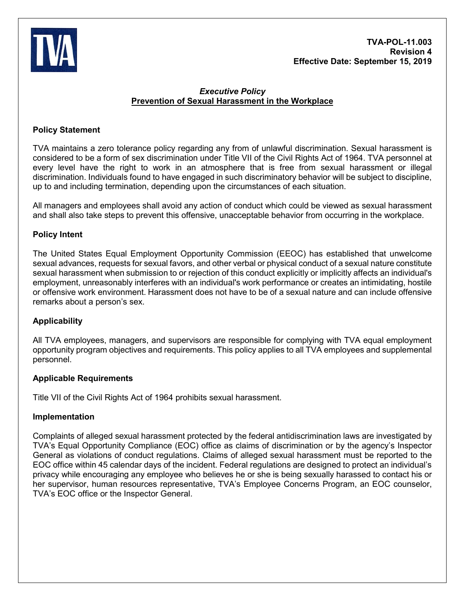

# *Executive Policy* **Prevention of Sexual Harassment in the Workplace**

# **Policy Statement**

TVA maintains a zero tolerance policy regarding any from of unlawful discrimination. Sexual harassment is considered to be a form of sex discrimination under Title VII of the Civil Rights Act of 1964. TVA personnel at every level have the right to work in an atmosphere that is free from sexual harassment or illegal discrimination. Individuals found to have engaged in such discriminatory behavior will be subject to discipline, up to and including termination, depending upon the circumstances of each situation.

All managers and employees shall avoid any action of conduct which could be viewed as sexual harassment and shall also take steps to prevent this offensive, unacceptable behavior from occurring in the workplace.

### **Policy Intent**

The United States Equal Employment Opportunity Commission (EEOC) has established that unwelcome sexual advances, requests for sexual favors, and other verbal or physical conduct of a sexual nature constitute sexual harassment when submission to or rejection of this conduct explicitly or implicitly affects an individual's employment, unreasonably interferes with an individual's work performance or creates an intimidating, hostile or offensive work environment. Harassment does not have to be of a sexual nature and can include offensive remarks about a person's sex.

### **Applicability**

All TVA employees, managers, and supervisors are responsible for complying with TVA equal employment opportunity program objectives and requirements. This policy applies to all TVA employees and supplemental personnel.

### **Applicable Requirements**

Title VII of the Civil Rights Act of 1964 prohibits sexual harassment.

### **Implementation**

Complaints of alleged sexual harassment protected by the federal antidiscrimination laws are investigated by TVA's Equal Opportunity Compliance (EOC) office as claims of discrimination or by the agency's Inspector General as violations of conduct regulations. Claims of alleged sexual harassment must be reported to the EOC office within 45 calendar days of the incident. Federal regulations are designed to protect an individual's privacy while encouraging any employee who believes he or she is being sexually harassed to contact his or her supervisor, human resources representative, TVA's Employee Concerns Program, an EOC counselor, TVA's EOC office or the Inspector General.